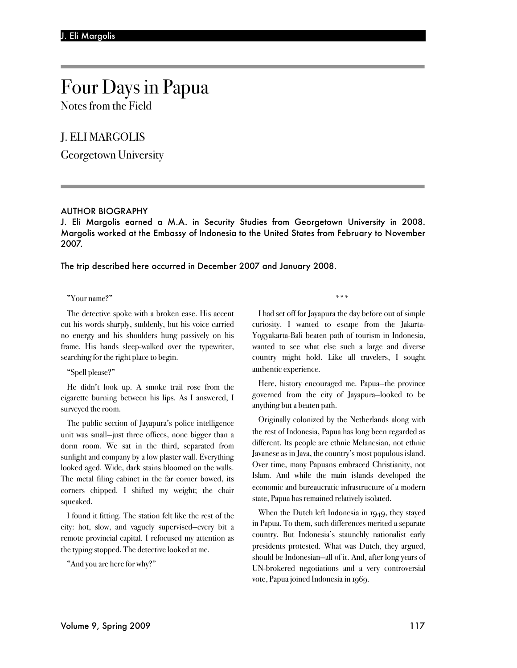# Four Days in Papua

Notes from the Field

## J. ELI MARGOLIS

Georgetown University

### AUTHOR BIOGRAPHY

J. Eli Margolis earned a M.A. in Security Studies from Georgetown University in 2008. Margolis worked at the Embassy of Indonesia to the United States from February to November 2007.

The trip described here occurred in December 2007 and January 2008.

#### "Your name?"

The detective spoke with a broken ease. His accent cut his words sharply, suddenly, but his voice carried no energy and his shoulders hung passively on his frame. His hands sleep-walked over the typewriter, searching for the right place to begin.

#### "Spell please?"

He didn't look up. A smoke trail rose from the cigarette burning between his lips. As I answered, I surveyed the room.

The public section of Jayapura's police intelligence unit was small—just three offices, none bigger than a dorm room. We sat in the third, separated from sunlight and company by a low plaster wall. Everything looked aged. Wide, dark stains bloomed on the walls. The metal filing cabinet in the far corner bowed, its corners chipped. I shifted my weight; the chair squeaked.

I found it fitting. The station felt like the rest of the city: hot, slow, and vaguely supervised—every bit a remote provincial capital. I refocused my attention as the typing stopped. The detective looked at me.

"And you are here for why?"

I had set off for Jayapura the day before out of simple curiosity. I wanted to escape from the Jakarta-Yogyakarta-Bali beaten path of tourism in Indonesia, wanted to see what else such a large and diverse country might hold. Like all travelers, I sought authentic experience.

\*\*\*

Here, history encouraged me. Papua—the province governed from the city of Jayapura—looked to be anything but a beaten path.

Originally colonized by the Netherlands along with the rest of Indonesia, Papua has long been regarded as different. Its people are ethnic Melanesian, not ethnic Javanese as in Java, the country's most populous island. Over time, many Papuans embraced Christianity, not Islam. And while the main islands developed the economic and bureaucratic infrastructure of a modern state, Papua has remained relatively isolated.

When the Dutch left Indonesia in 1949, they stayed in Papua. To them, such differences merited a separate country. But Indonesia's staunchly nationalist early presidents protested. What was Dutch, they argued, should be Indonesian—all of it. And, after long years of UN-brokered negotiations and a very controversial vote, Papua joined Indonesia in 1969.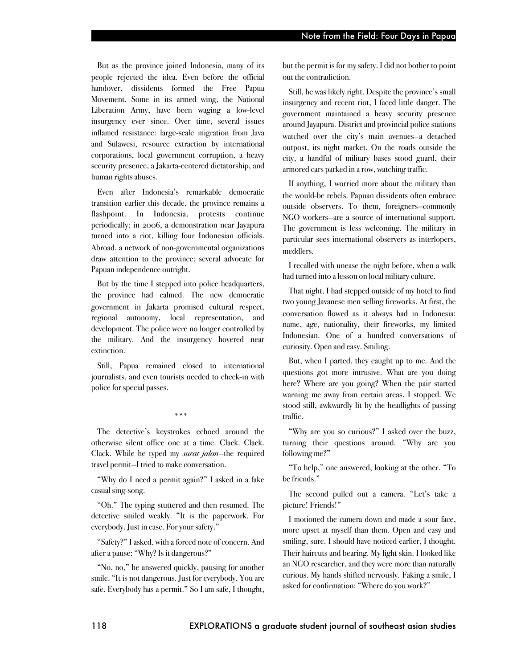But as the province joined Indonesia, many of its people rejected the idea. Even before the official handover, dissidents formed the Free Papua Movement. Some in its armed wing, the National Liberation Army, have been waging a low-level insurgency ever since. Over time, several issues inflamed resistance: large-scale migration from Java and Sulawesi, resource extraction by international corporations, local government corruption, a heavy security presence, a Jakarta-centered dictatorship, and human rights abuses.

Even after Indonesia's remarkable democratic transition earlier this decade, the province remains a flashpoint. In Indonesia, protests continue periodically; in 2006, a demonstration near Jayapura turned into a riot, killing four Indonesian officials. Abroad, a network of non-governmental organizations draw attention to the province; several advocate for Papuan independence outright.

But by the time I stepped into police headquarters, the province had calmed. The new democratic government in Jakarta promised cultural respect, regional autonomy, local representation, and development. The police were no longer controlled by the military. And the insurgency hovered near extinction.

Still, Papua remained closed to international journalists, and even tourists needed to check-in with police for special passes.

\*\*\*

The detective's keystrokes echoed around the otherwise silent office one at a time. Clack. Clack. Clack. While he typed my *surat jalan*—the required travel permit—I tried to make conversation.

"Why do I need a permit again?" I asked in a fake casual sing-song.

"Oh." The typing stuttered and then resumed. The detective smiled weakly. "It is the paperwork. For everybody. Just in case. For your safety."

"Safety?" I asked, with a forced note of concern. And after a pause: "Why? Is it dangerous?"

"No, no," he answered quickly, pausing for another smile. "It is not dangerous. Just for everybody. You are safe. Everybody has a permit." So I am safe, I thought,

but the permit is for my safety. I did not bother to point out the contradiction.

Still, he was likely right. Despite the province's small insurgency and recent riot, I faced little danger. The government maintained a heavy security presence around Jayapura. District and provincial police stations watched over the city's main avenues—a detached outpost, its night market. On the roads outside the city, a handful of military bases stood guard, their armored cars parked in a row, watching traffic.

If anything, I worried more about the military than the would-be rebels. Papuan dissidents often embrace outside observers. To them, foreigners—commonly NGO workers—are a source of international support. The government is less welcoming. The military in particular sees international observers as interlopers, meddlers.

I recalled with unease the night before, when a walk had turned into a lesson on local military culture.

That night, I had stepped outside of my hotel to find two young Javanese men selling fireworks. At first, the conversation flowed as it always had in Indonesia: name, age, nationality, their fireworks, my limited Indonesian. One of a hundred conversations of curiosity. Open and easy. Smiling.

But, when I parted, they caught up to me. And the questions got more intrusive. What are you doing here? Where are you going? When the pair started warning me away from certain areas, I stopped. We stood still, awkwardly lit by the headlights of passing traffic.

"Why are you so curious?" I asked over the buzz, turning their questions around. "Why are you following me?"

"To help," one answered, looking at the other. "To be friends."

The second pulled out a camera. "Let's take a picture! Friends!"

I motioned the camera down and made a sour face, more upset at myself than them. Open and easy and smiling, sure. I should have noticed earlier, I thought. Their haircuts and bearing. My light skin. I looked like an NGO researcher, and they were more than naturally curious. My hands shifted nervously. Faking a smile, I asked for confirmation: "Where do you work?"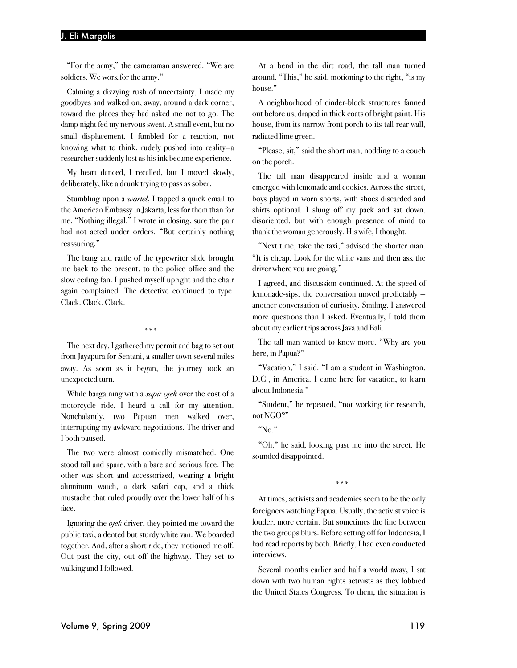### J. Eli Margolis

"For the army," the cameraman answered. "We are soldiers. We work for the army."

Calming a dizzying rush of uncertainty, I made my goodbyes and walked on, away, around a dark corner, toward the places they had asked me not to go. The damp night fed my nervous sweat. A small event, but no small displacement. I fumbled for a reaction, not knowing what to think, rudely pushed into reality—a researcher suddenly lost as his ink became experience.

My heart danced, I recalled, but I moved slowly, deliberately, like a drunk trying to pass as sober.

Stumbling upon a *wartel*, I tapped a quick email to the American Embassy in Jakarta, less for them than for me. "Nothing illegal," I wrote in closing, sure the pair had not acted under orders. "But certainly nothing reassuring."

The bang and rattle of the typewriter slide brought me back to the present, to the police office and the slow ceiling fan. I pushed myself upright and the chair again complained. The detective continued to type. Clack. Clack. Clack.

\*\*\*

The next day, I gathered my permit and bag to set out from Jayapura for Sentani, a smaller town several miles away. As soon as it began, the journey took an unexpected turn.

While bargaining with a *supir ojek* over the cost of a motorcycle ride, I heard a call for my attention. Nonchalantly, two Papuan men walked over, interrupting my awkward negotiations. The driver and I both paused.

The two were almost comically mismatched. One stood tall and spare, with a bare and serious face. The other was short and accessorized, wearing a bright aluminum watch, a dark safari cap, and a thick mustache that ruled proudly over the lower half of his face.

Ignoring the *ojek* driver, they pointed me toward the public taxi, a dented but sturdy white van. We boarded together. And, after a short ride, they motioned me off. Out past the city, out off the highway. They set to walking and I followed.

At a bend in the dirt road, the tall man turned around. "This," he said, motioning to the right, "is my house."

A neighborhood of cinder-block structures fanned out before us, draped in thick coats of bright paint. His house, from its narrow front porch to its tall rear wall, radiated lime green.

"Please, sit," said the short man, nodding to a couch on the porch.

The tall man disappeared inside and a woman emerged with lemonade and cookies. Across the street, boys played in worn shorts, with shoes discarded and shirts optional. I slung off my pack and sat down, disoriented, but with enough presence of mind to thank the woman generously. His wife, I thought.

"Next time, take the taxi," advised the shorter man. "It is cheap. Look for the white vans and then ask the driver where you are going."

I agreed, and discussion continued. At the speed of lemonade-sips, the conversation moved predictably another conversation of curiosity. Smiling. I answered more questions than I asked. Eventually, I told them about my earlier trips across Java and Bali.

The tall man wanted to know more. "Why are you here, in Papua?"

"Vacation," I said. "I am a student in Washington, D.C., in America. I came here for vacation, to learn about Indonesia."

"Student," he repeated, "not working for research, not NGO?"

"No."

"Oh," he said, looking past me into the street. He sounded disappointed.

\*\*\*

At times, activists and academics seem to be the only foreigners watching Papua. Usually, the activist voice is louder, more certain. But sometimes the line between the two groups blurs. Before setting off for Indonesia, I had read reports by both. Briefly, I had even conducted interviews.

Several months earlier and half a world away, I sat down with two human rights activists as they lobbied the United States Congress. To them, the situation is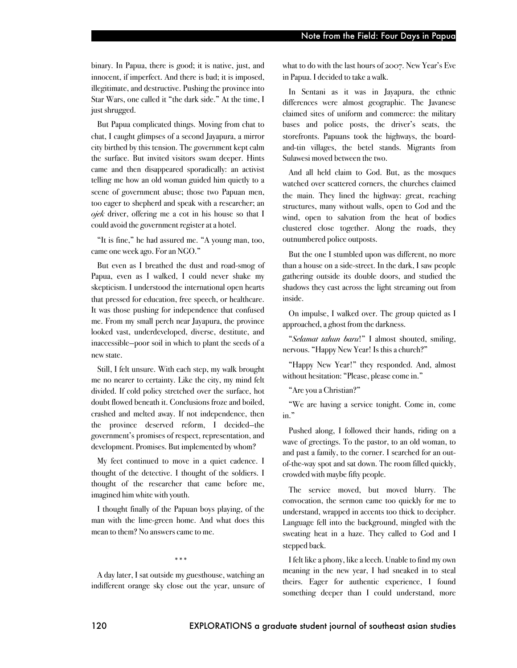binary. In Papua, there is good; it is native, just, and innocent, if imperfect. And there is bad; it is imposed, illegitimate, and destructive. Pushing the province into Star Wars, one called it "the dark side." At the time, I just shrugged.

But Papua complicated things. Moving from chat to chat, I caught glimpses of a second Jayapura, a mirror city birthed by this tension. The government kept calm the surface. But invited visitors swam deeper. Hints came and then disappeared sporadically: an activist telling me how an old woman guided him quietly to a scene of government abuse; those two Papuan men, too eager to shepherd and speak with a researcher; an *ojek* driver, offering me a cot in his house so that I could avoid the government register at a hotel.

"It is fine," he had assured me. "A young man, too, came one week ago. For an NGO."

But even as I breathed the dust and road-smog of Papua, even as I walked, I could never shake my skepticism. I understood the international open hearts that pressed for education, free speech, or healthcare. It was those pushing for independence that confused me. From my small perch near Jayapura, the province looked vast, underdeveloped, diverse, destitute, and inaccessible—poor soil in which to plant the seeds of a new state.

Still, I felt unsure. With each step, my walk brought me no nearer to certainty. Like the city, my mind felt divided. If cold policy stretched over the surface, hot doubt flowed beneath it. Conclusions froze and boiled, crashed and melted away. If not independence, then the province deserved reform, I decided—the government's promises of respect, representation, and development. Promises. But implemented by whom?

My feet continued to move in a quiet cadence. I thought of the detective. I thought of the soldiers. I thought of the researcher that came before me, imagined him white with youth.

I thought finally of the Papuan boys playing, of the man with the lime-green home. And what does this mean to them? No answers came to me.

#### \*\*\*

A day later, I sat outside my guesthouse, watching an indifferent orange sky close out the year, unsure of what to do with the last hours of 2007. New Year's Eve in Papua. I decided to take a walk.

In Sentani as it was in Jayapura, the ethnic differences were almost geographic. The Javanese claimed sites of uniform and commerce: the military bases and police posts, the driver's seats, the storefronts. Papuans took the highways, the boardand-tin villages, the betel stands. Migrants from Sulawesi moved between the two.

And all held claim to God. But, as the mosques watched over scattered corners, the churches claimed the main. They lined the highway: great, reaching structures, many without walls, open to God and the wind, open to salvation from the heat of bodies clustered close together. Along the roads, they outnumbered police outposts.

But the one I stumbled upon was different, no more than a house on a side-street. In the dark, I saw people gathering outside its double doors, and studied the shadows they cast across the light streaming out from inside.

On impulse, I walked over. The group quieted as I approached, a ghost from the darkness.

"*Selamat tahun baru*!" I almost shouted, smiling, nervous. "Happy New Year! Is this a church?"

"Happy New Year!" they responded. And, almost without hesitation: "Please, please come in."

"Are you a Christian?"

"We are having a service tonight. Come in, come in."

Pushed along, I followed their hands, riding on a wave of greetings. To the pastor, to an old woman, to and past a family, to the corner. I searched for an outof-the-way spot and sat down. The room filled quickly, crowded with maybe fifty people.

The service moved, but moved blurry. The convocation, the sermon came too quickly for me to understand, wrapped in accents too thick to decipher. Language fell into the background, mingled with the sweating heat in a haze. They called to God and I stepped back.

I felt like a phony, like aleech. Unable to find my own meaning in the new year, I had sneaked in to steal theirs. Eager for authentic experience, I found something deeper than I could understand, more